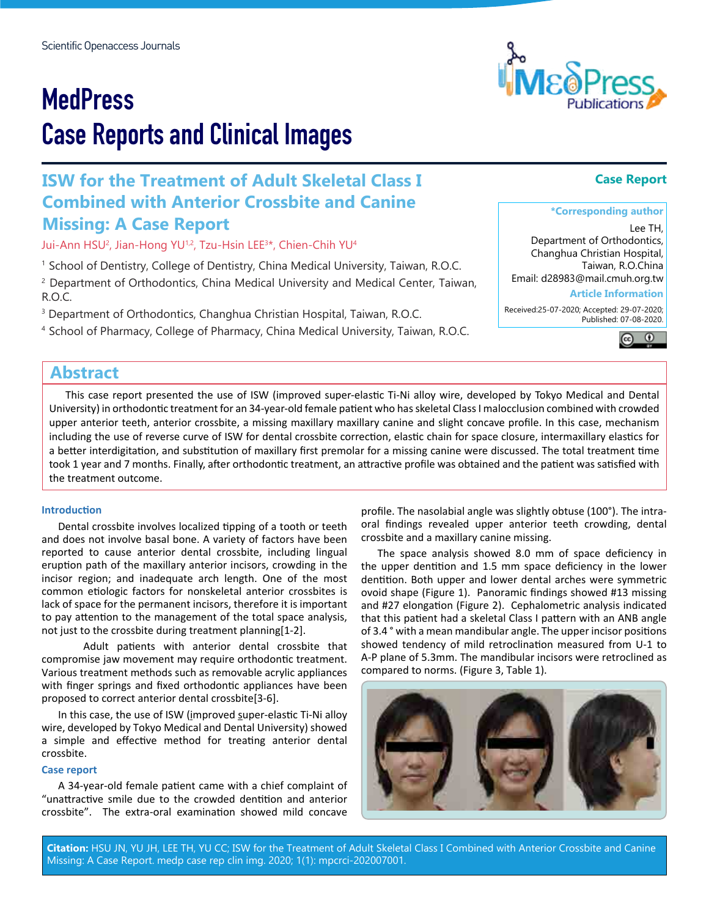# **MedPress** Case Reports and Clinical Images

## **ISW for the Treatment of Adult Skeletal Class I Combined with Anterior Crossbite and Canine Missing: A Case Report**

Jui-Ann HSU2 , Jian-Hong YU1,2, Tzu-Hsin LEE3 \*, Chien-Chih YU4

<sup>1</sup> School of Dentistry, College of Dentistry, China Medical University, Taiwan, R.O.C. 2 Department of Orthodontics, China Medical University and Medical Center, Taiwan, R.O.C.

<sup>3</sup> Department of Orthodontics, Changhua Christian Hospital, Taiwan, R.O.C.

4 School of Pharmacy, College of Pharmacy, China Medical University, Taiwan, R.O.C.

## **Abstract**

This case report presented the use of ISW (improved super-elastic Ti-Ni alloy wire, developed by Tokyo Medical and Dental University) in orthodontic treatment for an 34-year-old female patient who has skeletal Class I malocclusion combined with crowded upper anterior teeth, anterior crossbite, a missing maxillary maxillary canine and slight concave profile. In this case, mechanism including the use of reverse curve of ISW for dental crossbite correction, elastic chain for space closure, intermaxillary elastics for a better interdigitation, and substitution of maxillary first premolar for a missing canine were discussed. The total treatment time took 1 year and 7 months. Finally, after orthodontic treatment, an attractive profile was obtained and the patient was satisfied with the treatment outcome.

#### **Introduction**

Dental crossbite involves localized tipping of a tooth or teeth and does not involve basal bone. A variety of factors have been reported to cause anterior dental crossbite, including lingual eruption path of the maxillary anterior incisors, crowding in the incisor region; and inadequate arch length. One of the most common etiologic factors for nonskeletal anterior crossbites is lack of space for the permanent incisors, therefore it is important to pay attention to the management of the total space analysis, not just to the crossbite during treatment planning[1-2].

Adult patients with anterior dental crossbite that compromise jaw movement may require orthodontic treatment. Various treatment methods such as removable acrylic appliances with finger springs and fixed orthodontic appliances have been proposed to correct anterior dental crossbite[3-6].

In this case, the use of ISW (improved super-elastic Ti-Ni alloy wire, developed by Tokyo Medical and Dental University) showed a simple and effective method for treating anterior dental crossbite.

#### **Case report**

A 34-year-old female patient came with a chief complaint of "unattractive smile due to the crowded dentition and anterior crossbite". The extra-oral examination showed mild concave

profile. The nasolabial angle was slightly obtuse (100°). The intraoral findings revealed upper anterior teeth crowding, dental crossbite and a maxillary canine missing.

The space analysis showed 8.0 mm of space deficiency in the upper dentition and 1.5 mm space deficiency in the lower dentition. Both upper and lower dental arches were symmetric ovoid shape (Figure 1). Panoramic findings showed #13 missing and #27 elongation (Figure 2). Cephalometric analysis indicated that this patient had a skeletal Class I pattern with an ANB angle of 3.4 ° with a mean mandibular angle. The upper incisor positions showed tendency of mild retroclination measured from U-1 to A-P plane of 5.3mm. The mandibular incisors were retroclined as compared to norms. (Figure 3, Table 1).



**Citation:** HSU JN, YU JH, LEE TH, YU CC; ISW for the Treatment of Adult Skeletal Class I Combined with Anterior Crossbite and Canine Missing: A Case Report. medp case rep clin img. 2020; 1(1): mpcrci-202007001.



## **Case Report**

### **\*Corresponding author**

Lee TH, Department of Orthodontics, Changhua Christian Hospital, Taiwan, R.O.China Email: d28983@mail.cmuh.org.tw

#### **Article Information**

 Received:25-07-2020; Accepted: 29-07-2020; Published: 07-08-2020.

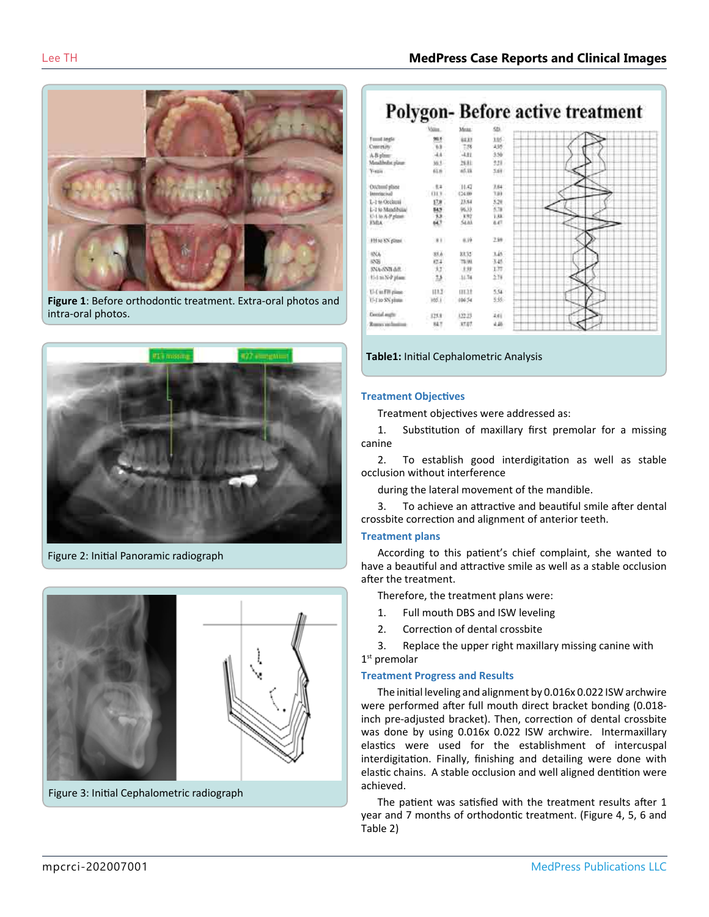The Discovery and The Second Company



**Figure 1**: Before orthodontic treatment. Extra-oral photos and intra-oral photos.



Figure 2: Initial Panoramic radiograph



Figure 3: Initial Cephalometric radiograph

|                            | Value.    | Meise.        | SDI.            |  |  |  |
|----------------------------|-----------|---------------|-----------------|--|--|--|
| Found aweler               |           | \$533         | 105             |  |  |  |
| Contrasillo                | i.h       | 18            | 436             |  |  |  |
| A-B plane:                 | $\lambda$ | $-1.81$       | 3.56            |  |  |  |
| Metallholist player        | W.L.      | 36.81         | 331             |  |  |  |
| Y-sam<br>Mark              | 65        | 45.19<br>- 15 | 5.68            |  |  |  |
| Oschunf plane              | $+1.4$    | 11.42         | $2.64 -$        |  |  |  |
| Interinciusl               | 013       | (24.00)       | 18)             |  |  |  |
| L-1 to Occlassi            | 17.0      | 23.64         | 5.28            |  |  |  |
| L-2 to Mandibilia          | 无边想       | 9633          | 5.78            |  |  |  |
| U-Lio A-P plane            |           | 盟             | iu.             |  |  |  |
| <b>FMA</b><br>e anno       |           |               | 6.4%            |  |  |  |
| 19146 KN glimni            | 81.       | 8.19          | 239             |  |  |  |
| <b>BXA</b>                 | 冠赤        | 放过            | 146             |  |  |  |
| 动田                         | es:       | <b>19.99</b>  | 3.45            |  |  |  |
| <b>BARSMAR</b>             | $17$      | 土林            | 137.            |  |  |  |
| U-Lu-N-P plane             | 1.5       | 11.74         | 238             |  |  |  |
| U-CurFit plane:            | 113       | mat           | 5.54            |  |  |  |
| 11-1 to SN plate.          | Htd.      | 00654         | 335             |  |  |  |
| Coord mate                 | 125.8     | (22.23        | iii.            |  |  |  |
| <b>Roman and Institute</b> | 84.7      | 37.07         | 4.46<br>$-5.11$ |  |  |  |

**Table1:** Initial Cephalometric Analysis

#### **Treatment Objectives**

**CONTRACTOR** 

Treatment objectives were addressed as:

1. Substitution of maxillary first premolar for a missing canine

2. To establish good interdigitation as well as stable occlusion without interference

during the lateral movement of the mandible.

3. To achieve an attractive and beautiful smile after dental crossbite correction and alignment of anterior teeth.

#### **Treatment plans**

According to this patient's chief complaint, she wanted to have a beautiful and attractive smile as well as a stable occlusion after the treatment.

Therefore, the treatment plans were:

- 1. Full mouth DBS and ISW leveling
- 2. Correction of dental crossbite

3. Replace the upper right maxillary missing canine with 1<sup>st</sup> premolar

#### **Treatment Progress and Results**

The initial leveling and alignment by 0.016x 0.022 ISW archwire were performed after full mouth direct bracket bonding (0.018 inch pre-adjusted bracket). Then, correction of dental crossbite was done by using 0.016x 0.022 ISW archwire. Intermaxillary elastics were used for the establishment of intercuspal interdigitation. Finally, finishing and detailing were done with elastic chains. A stable occlusion and well aligned dentition were achieved.

The patient was satisfied with the treatment results after 1 year and 7 months of orthodontic treatment. (Figure 4, 5, 6 and Table 2)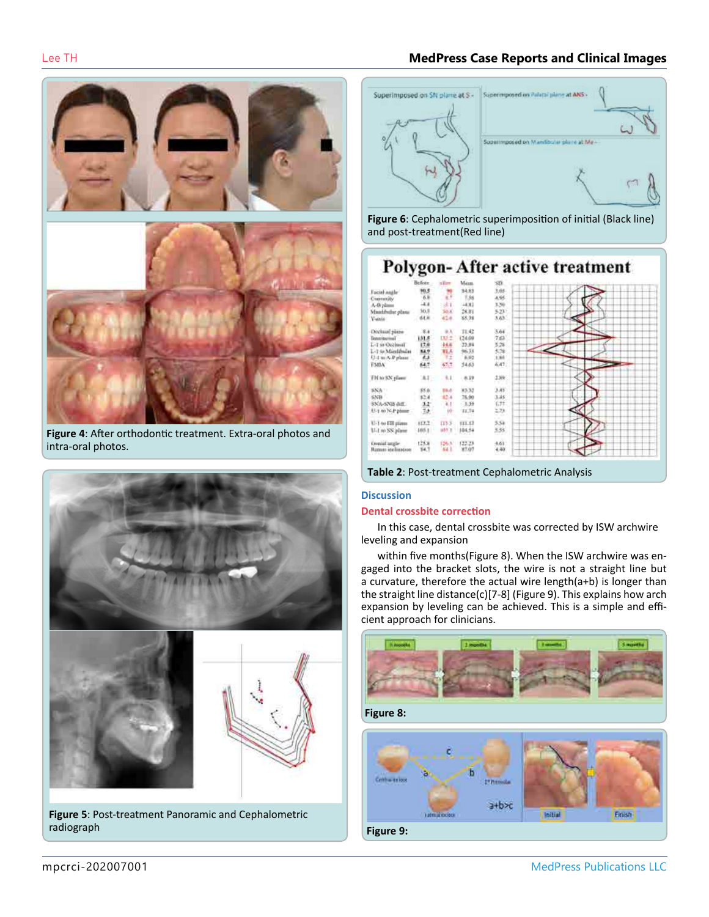

**Figure 4**: After orthodontic treatment. Extra-oral photos and intra-oral photos.



**Figure 5**: Post-treatment Panoramic and Cephalometric radiograph

## Lee TH **MedPress Case Reports and Clinical Images**



**Figure 6**: Cephalometric superimposition of initial (Black line) and post-treatment(Red line)

#### Polygon-After active treatment 3.05 34.83 Friend most  $^{186}_{400}$  $3.39$ <br> $5.22$ <br> $5.63$ A-B plan<br>Massificilist p ä. dα 28.81 Vi i  $\frac{36}{64}$ **V-said** 一些样 11.42 Division 424 3.64 日明朝時期發展 5日25年1月 明 **ALCOHO** 붱 sis. **TMIA** 64.7  $\pm 1$  $\mathbf{u}$  $138$ FM to SN plant -839 1種 3種(物) **BAD** 83.32 \$50  $85.0$ 14.80 iz 4 SNA-SNB 6dl 赫 ¥. U-1 to N-P plane W  $11.74$ U-1 to EB years  $(0.2)$  $rac{13.5}{102.1}$  $(11.1)$  $rac{5.54}{3.35}$ U-1 to SS plans  $105.1$ 104.54  $^{+61}_{+80}$ 翳 田高 監

#### **Table 2**: Post-treatment Cephalometric Analysis

#### **Discussion**

#### **Dental crossbite correction**

In this case, dental crossbite was corrected by ISW archwire leveling and expansion

within five months(Figure 8). When the ISW archwire was engaged into the bracket slots, the wire is not a straight line but a curvature, therefore the actual wire length(a+b) is longer than the straight line distance(c)[7-8] (Figure 9). This explains how arch expansion by leveling can be achieved. This is a simple and efficient approach for clinicians.

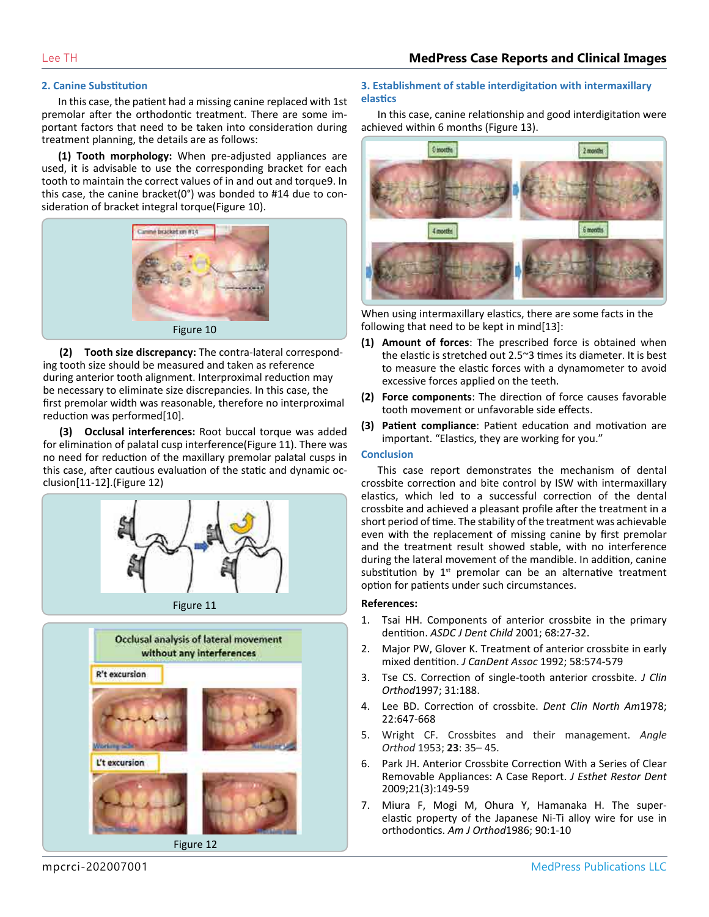#### **2. Canine Substitution**

In this case, the patient had a missing canine replaced with 1st premolar after the orthodontic treatment. There are some important factors that need to be taken into consideration during treatment planning, the details are as follows:

**(1) Tooth morphology:** When pre-adjusted appliances are used, it is advisable to use the corresponding bracket for each tooth to maintain the correct values of in and out and torque9. In this case, the canine bracket(0°) was bonded to #14 due to consideration of bracket integral torque(Figure 10).



**(2) Tooth size discrepancy:** The contra-lateral corresponding tooth size should be measured and taken as reference during anterior tooth alignment. Interproximal reduction may be necessary to eliminate size discrepancies. In this case, the first premolar width was reasonable, therefore no interproximal reduction was performed[10].

**(3) Occlusal interferences:** Root buccal torque was added for elimination of palatal cusp interference(Figure 11). There was no need for reduction of the maxillary premolar palatal cusps in this case, after cautious evaluation of the static and dynamic occlusion[11-12].(Figure 12)





#### **3. Establishment of stable interdigitation with intermaxillary elastics**

In this case, canine relationship and good interdigitation were achieved within 6 months (Figure 13).



When using intermaxillary elastics, there are some facts in the following that need to be kept in mind[13]:

- **(1) Amount of forces**: The prescribed force is obtained when the elastic is stretched out 2.5~3 times its diameter. It is best to measure the elastic forces with a dynamometer to avoid excessive forces applied on the teeth.
- **(2) Force components**: The direction of force causes favorable tooth movement or unfavorable side effects.
- **(3) Patient compliance**: Patient education and motivation are important. "Elastics, they are working for you."

#### **Conclusion**

This case report demonstrates the mechanism of dental crossbite correction and bite control by ISW with intermaxillary elastics, which led to a successful correction of the dental crossbite and achieved a pleasant profile after the treatment in a short period of time. The stability of the treatment was achievable even with the replacement of missing canine by first premolar and the treatment result showed stable, with no interference during the lateral movement of the mandible. In addition, canine substitution by  $1<sup>st</sup>$  premolar can be an alternative treatment option for patients under such circumstances.

#### **References:**

- 1. Tsai HH. Components of anterior crossbite in the primary dentition. *ASDC J Dent Child* 2001; 68:27-32.
- 2. Major PW, Glover K. Treatment of anterior crossbite in early mixed dentition. *J CanDent Assoc* 1992; 58:574-579
- 3. Tse CS. Correction of single-tooth anterior crossbite. *J Clin Orthod*1997; 31:188.
- 4. Lee BD. Correction of crossbite. *Dent Clin North Am*1978; 22:647-668
- 5. Wright CF. Crossbites and their management. *Angle Orthod* 1953; **23**: 35– 45.
- 6. Park JH. Anterior Crossbite Correction With a Series of Clear Removable Appliances: A Case Report. *J Esthet Restor Dent*  2009;21(3):149-59
- 7. Miura F, Mogi M, Ohura Y, Hamanaka H. The superelastic property of the Japanese Ni-Ti alloy wire for use in orthodontics. *Am J Orthod*1986; 90:1-10